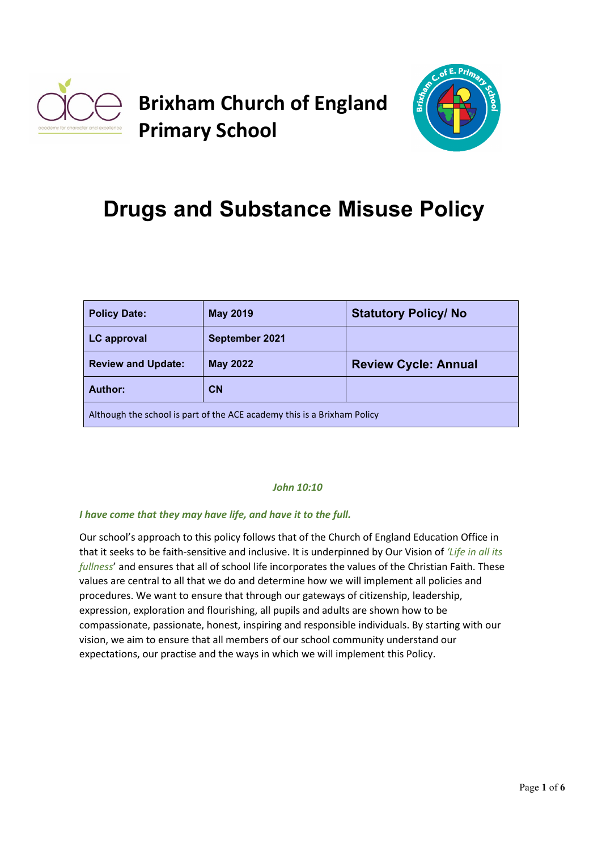

## **Brixham Church of England Primary School**



# **Drugs and Substance Misuse Policy**

| <b>Policy Date:</b>                                                     | <b>May 2019</b> | <b>Statutory Policy/No</b>  |  |
|-------------------------------------------------------------------------|-----------------|-----------------------------|--|
| <b>LC</b> approval                                                      | September 2021  |                             |  |
| <b>Review and Update:</b>                                               | <b>May 2022</b> | <b>Review Cycle: Annual</b> |  |
| Author:                                                                 | CN              |                             |  |
| Although the school is part of the ACE academy this is a Brixham Policy |                 |                             |  |

## *John 10:10*

#### *I have come that they may have life, and have it to the full.*

Our school's approach to this policy follows that of the Church of England Education Office in that it seeks to be faith-sensitive and inclusive. It is underpinned by Our Vision of *'Life in all its fullness*' and ensures that all of school life incorporates the values of the Christian Faith. These values are central to all that we do and determine how we will implement all policies and procedures. We want to ensure that through our gateways of citizenship, leadership, expression, exploration and flourishing, all pupils and adults are shown how to be compassionate, passionate, honest, inspiring and responsible individuals. By starting with our vision, we aim to ensure that all members of our school community understand our expectations, our practise and the ways in which we will implement this Policy.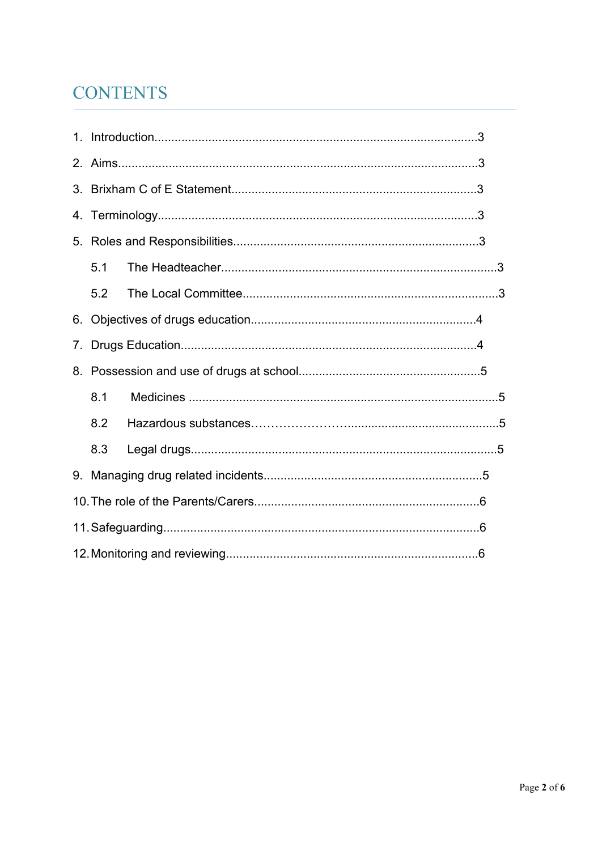## **CONTENTS**

| 3. |     |  |  |  |
|----|-----|--|--|--|
|    |     |  |  |  |
|    |     |  |  |  |
|    | 5.1 |  |  |  |
|    | 5.2 |  |  |  |
| 6. |     |  |  |  |
| 7. |     |  |  |  |
|    |     |  |  |  |
|    | 8.1 |  |  |  |
|    | 8.2 |  |  |  |
|    | 8.3 |  |  |  |
|    |     |  |  |  |
|    |     |  |  |  |
|    |     |  |  |  |
|    |     |  |  |  |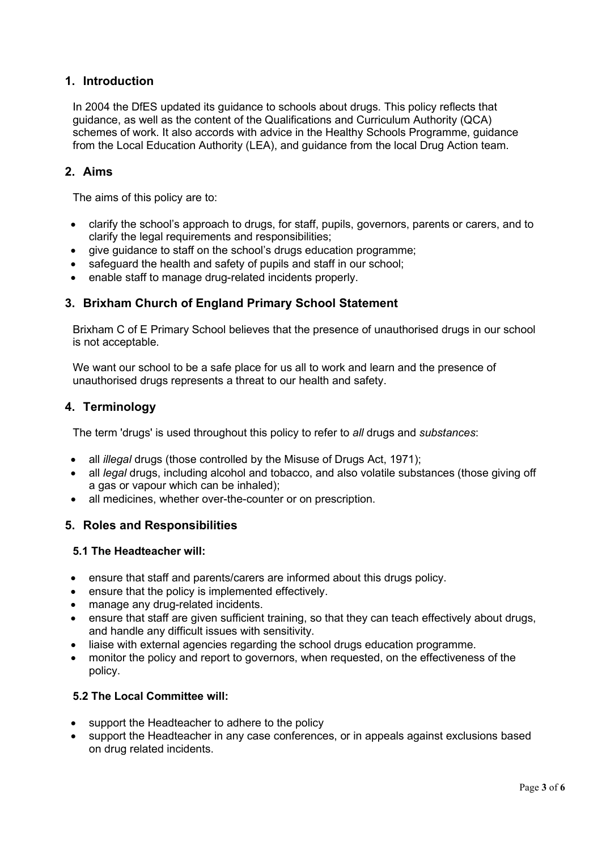## **1. Introduction**

In 2004 the DfES updated its guidance to schools about drugs. This policy reflects that guidance, as well as the content of the Qualifications and Curriculum Authority (QCA) schemes of work. It also accords with advice in the Healthy Schools Programme, guidance from the Local Education Authority (LEA), and guidance from the local Drug Action team.

## **2. Aims**

The aims of this policy are to:

- clarify the school's approach to drugs, for staff, pupils, governors, parents or carers, and to clarify the legal requirements and responsibilities;
- give guidance to staff on the school's drugs education programme;
- safeguard the health and safety of pupils and staff in our school;
- enable staff to manage drug-related incidents properly.

## **3. Brixham Church of England Primary School Statement**

Brixham C of E Primary School believes that the presence of unauthorised drugs in our school is not acceptable.

We want our school to be a safe place for us all to work and learn and the presence of unauthorised drugs represents a threat to our health and safety.

## **4. Terminology**

The term 'drugs' is used throughout this policy to refer to *all* drugs and *substances*:

- all *illegal* drugs (those controlled by the Misuse of Drugs Act, 1971);
- all *legal* drugs, including alcohol and tobacco, and also volatile substances (those giving off a gas or vapour which can be inhaled);
- all medicines, whether over-the-counter or on prescription.

## **5. Roles and Responsibilities**

## **5.1 The Headteacher will:**

- ensure that staff and parents/carers are informed about this drugs policy.
- ensure that the policy is implemented effectively.
- manage any drug-related incidents.
- ensure that staff are given sufficient training, so that they can teach effectively about drugs, and handle any difficult issues with sensitivity.
- liaise with external agencies regarding the school drugs education programme.
- monitor the policy and report to governors, when requested, on the effectiveness of the policy.

## **5.2 The Local Committee will:**

- support the Headteacher to adhere to the policy
- support the Headteacher in any case conferences, or in appeals against exclusions based on drug related incidents.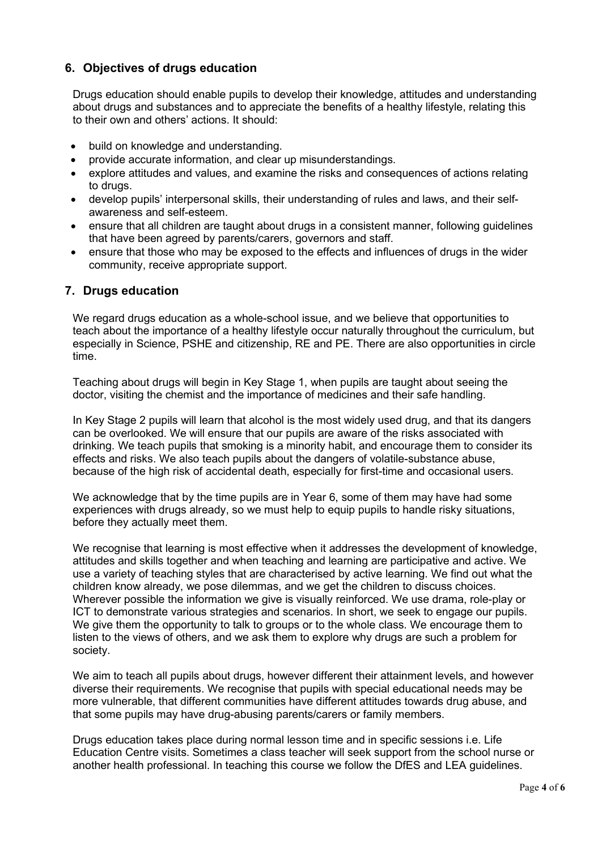## **6. Objectives of drugs education**

Drugs education should enable pupils to develop their knowledge, attitudes and understanding about drugs and substances and to appreciate the benefits of a healthy lifestyle, relating this to their own and others' actions. It should:

- build on knowledge and understanding.
- provide accurate information, and clear up misunderstandings.
- explore attitudes and values, and examine the risks and consequences of actions relating to drugs.
- develop pupils' interpersonal skills, their understanding of rules and laws, and their selfawareness and self-esteem.
- ensure that all children are taught about drugs in a consistent manner, following guidelines that have been agreed by parents/carers, governors and staff.
- ensure that those who may be exposed to the effects and influences of drugs in the wider community, receive appropriate support.

## **7. Drugs education**

We regard drugs education as a whole-school issue, and we believe that opportunities to teach about the importance of a healthy lifestyle occur naturally throughout the curriculum, but especially in Science, PSHE and citizenship, RE and PE. There are also opportunities in circle time.

Teaching about drugs will begin in Key Stage 1, when pupils are taught about seeing the doctor, visiting the chemist and the importance of medicines and their safe handling.

In Key Stage 2 pupils will learn that alcohol is the most widely used drug, and that its dangers can be overlooked. We will ensure that our pupils are aware of the risks associated with drinking. We teach pupils that smoking is a minority habit, and encourage them to consider its effects and risks. We also teach pupils about the dangers of volatile-substance abuse, because of the high risk of accidental death, especially for first-time and occasional users.

We acknowledge that by the time pupils are in Year 6, some of them may have had some experiences with drugs already, so we must help to equip pupils to handle risky situations, before they actually meet them.

We recognise that learning is most effective when it addresses the development of knowledge, attitudes and skills together and when teaching and learning are participative and active. We use a variety of teaching styles that are characterised by active learning. We find out what the children know already, we pose dilemmas, and we get the children to discuss choices. Wherever possible the information we give is visually reinforced. We use drama, role-play or ICT to demonstrate various strategies and scenarios. In short, we seek to engage our pupils. We give them the opportunity to talk to groups or to the whole class. We encourage them to listen to the views of others, and we ask them to explore why drugs are such a problem for society.

We aim to teach all pupils about drugs, however different their attainment levels, and however diverse their requirements. We recognise that pupils with special educational needs may be more vulnerable, that different communities have different attitudes towards drug abuse, and that some pupils may have drug-abusing parents/carers or family members.

Drugs education takes place during normal lesson time and in specific sessions i.e. Life Education Centre visits. Sometimes a class teacher will seek support from the school nurse or another health professional. In teaching this course we follow the DfES and LEA guidelines.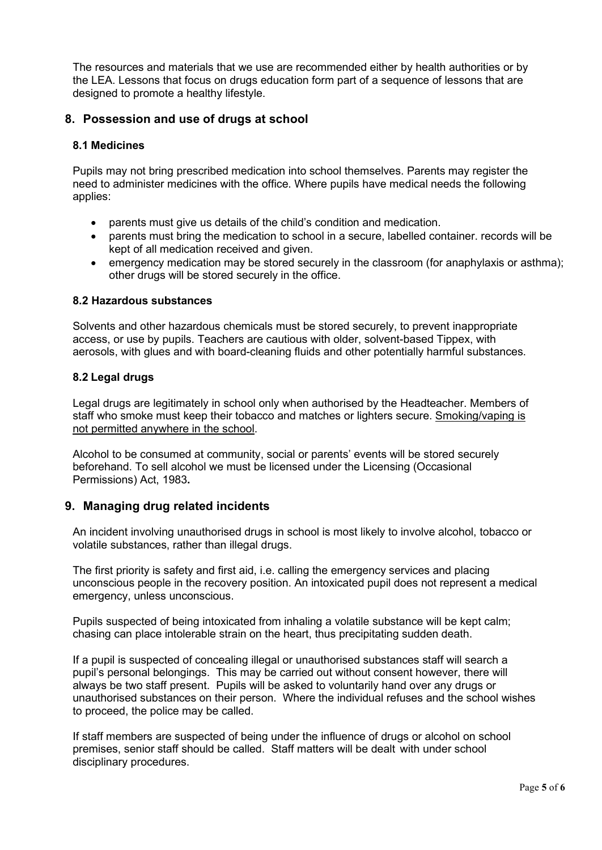The resources and materials that we use are recommended either by health authorities or by the LEA. Lessons that focus on drugs education form part of a sequence of lessons that are designed to promote a healthy lifestyle.

## **8. Possession and use of drugs at school**

#### **8.1 Medicines**

Pupils may not bring prescribed medication into school themselves. Parents may register the need to administer medicines with the office. Where pupils have medical needs the following applies:

- parents must give us details of the child's condition and medication.
- parents must bring the medication to school in a secure, labelled container. records will be kept of all medication received and given.
- emergency medication may be stored securely in the classroom (for anaphylaxis or asthma); other drugs will be stored securely in the office.

#### **8.2 Hazardous substances**

Solvents and other hazardous chemicals must be stored securely, to prevent inappropriate access, or use by pupils. Teachers are cautious with older, solvent-based Tippex, with aerosols, with glues and with board-cleaning fluids and other potentially harmful substances.

#### **8.2 Legal drugs**

Legal drugs are legitimately in school only when authorised by the Headteacher. Members of staff who smoke must keep their tobacco and matches or lighters secure. Smoking/vaping is not permitted anywhere in the school.

Alcohol to be consumed at community, social or parents' events will be stored securely beforehand. To sell alcohol we must be licensed under the Licensing (Occasional Permissions) Act, 1983**.**

## **9. Managing drug related incidents**

An incident involving unauthorised drugs in school is most likely to involve alcohol, tobacco or volatile substances, rather than illegal drugs.

The first priority is safety and first aid, i.e. calling the emergency services and placing unconscious people in the recovery position. An intoxicated pupil does not represent a medical emergency, unless unconscious.

Pupils suspected of being intoxicated from inhaling a volatile substance will be kept calm; chasing can place intolerable strain on the heart, thus precipitating sudden death.

If a pupil is suspected of concealing illegal or unauthorised substances staff will search a pupil's personal belongings. This may be carried out without consent however, there will always be two staff present. Pupils will be asked to voluntarily hand over any drugs or unauthorised substances on their person. Where the individual refuses and the school wishes to proceed, the police may be called.

If staff members are suspected of being under the influence of drugs or alcohol on school premises, senior staff should be called. Staff matters will be dealt with under school disciplinary procedures.